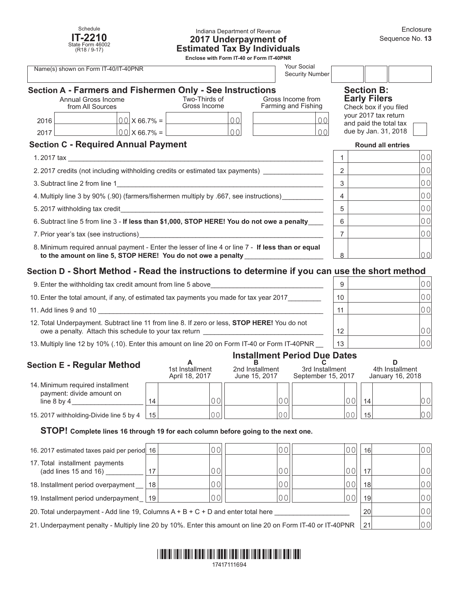

## Indiana Department of Revenue **2017 Underpayment of Estimated Tax By Individuals**

**Enclose with Form IT-40 or Form IT-40PNR**

| <b>Your Social</b><br>Name(s) shown on Form IT-40/IT-40PNR<br><b>Security Number</b>                                                                              |                                            |                  |                                                                                            |   |                                          |                                                |                                                                    |                |
|-------------------------------------------------------------------------------------------------------------------------------------------------------------------|--------------------------------------------|------------------|--------------------------------------------------------------------------------------------|---|------------------------------------------|------------------------------------------------|--------------------------------------------------------------------|----------------|
|                                                                                                                                                                   | Annual Gross Income<br>from All Sources    |                  | Section A - Farmers and Fishermen Only - See Instructions<br>Two-Thirds of<br>Gross Income |   | Gross Income from<br>Farming and Fishing |                                                | <b>Section B:</b><br><b>Early Filers</b><br>Check box if you filed |                |
| 2016                                                                                                                                                              | $00 \times 66.7\% =$                       |                  | 00                                                                                         |   |                                          | your 2017 tax return<br>and paid the total tax |                                                                    |                |
| 2017                                                                                                                                                              |                                            | $00$   X 66.7% = | $\Omega$                                                                                   |   | $\Omega$                                 |                                                | due by Jan. 31, 2018                                               |                |
|                                                                                                                                                                   | <b>Section C - Required Annual Payment</b> |                  |                                                                                            |   |                                          |                                                | <b>Round all entries</b>                                           |                |
| 1. 2017 tax<br>the contract of the contract of the contract of the contract of the contract of                                                                    |                                            |                  |                                                                                            |   |                                          |                                                |                                                                    | 0 <sub>0</sub> |
| 2.2017 credits (not including withholding credits or estimated tax payments)                                                                                      |                                            |                  |                                                                                            |   |                                          | 2                                              |                                                                    | 0 <sub>0</sub> |
| 3. Subtract line 2 from line 1 <b>All 2006 Contract the 2 from line 1</b>                                                                                         |                                            |                  |                                                                                            |   |                                          | 3                                              |                                                                    | 0 <sub>0</sub> |
| 4. Multiply line 3 by 90% (.90) (farmers/fishermen multiply by .667, see instructions)                                                                            |                                            |                  |                                                                                            |   |                                          | 4                                              |                                                                    | 0 <sub>0</sub> |
|                                                                                                                                                                   |                                            |                  |                                                                                            |   | 5                                        |                                                | 0 <sub>0</sub>                                                     |                |
| 6. Subtract line 5 from line 3 - If less than \$1,000, STOP HERE! You do not owe a penalty                                                                        |                                            |                  |                                                                                            |   | 6                                        |                                                | 0 <sub>0</sub>                                                     |                |
|                                                                                                                                                                   |                                            |                  |                                                                                            |   | 7                                        |                                                | 0 <sup>0</sup>                                                     |                |
| 8. Minimum required annual payment - Enter the lesser of line 4 or line 7 - If less than or equal<br>to the amount on line 5, STOP HERE! You do not owe a penalty |                                            |                  |                                                                                            | 8 |                                          | 0 <sub>0</sub>                                 |                                                                    |                |

# **Section D - Short Method - Read the instructions to determine if you can use the short method**

| 9. Enter the withholding tax credit amount from line 5 above                                                                                           | 9  | 0 O I           |
|--------------------------------------------------------------------------------------------------------------------------------------------------------|----|-----------------|
| 10. Enter the total amount, if any, of estimated tax payments you made for tax year 2017                                                               | 10 | 00 <sup>1</sup> |
| 11. Add lines 9 and 10                                                                                                                                 | 11 |                 |
| 12. Total Underpayment. Subtract line 11 from line 8. If zero or less, STOP HERE! You do not<br>owe a penalty. Attach this schedule to your tax return | 12 |                 |
| 13. Multiply line 12 by 10% (.10). Enter this amount on line 20 on Form IT-40 or Form IT-40PNR                                                         | 13 | 00              |

# **Installment Period Due Dates**

| <b>Section E - Regular Method</b>                                                |    | 1st Installment<br>April 18, 2017 | 2nd Installment<br>June 15, 2017 | 3rd Installment<br>September 15, 2017 |    | 4th Installment<br>January 16, 2018 |  |
|----------------------------------------------------------------------------------|----|-----------------------------------|----------------------------------|---------------------------------------|----|-------------------------------------|--|
| 14. Minimum required installment<br>payment: divide amount on<br>line $8$ by $4$ | 14 | 0 <sub>0</sub>                    | 00                               |                                       | 14 | 00                                  |  |
| 15. 2017 withholding-Divide line 5 by 4                                          | 15 | 0 <sup>C</sup>                    | $\cap$                           | $\cap$ $\cap$                         | 15 | 00                                  |  |

## **STOP! Complete lines 16 through 19 for each column before going to the next one.**

| 16. 2017 estimated taxes paid per period 16                                                                |    |    |  | 0 O I | 16 <sup>1</sup> | 00   |
|------------------------------------------------------------------------------------------------------------|----|----|--|-------|-----------------|------|
| 17. Total installment payments<br>(add lines 15 and 16)                                                    |    |    |  | 00    | 17              | 00   |
| 18. Installment period overpayment                                                                         | 18 |    |  | 00    | 18 <sup>1</sup> | 00   |
| 19. Installment period underpayment   19                                                                   |    | 00 |  | 00    | 19 <sup>1</sup> | 00   |
| 20. Total underpayment - Add line 19, Columns $A + B + C + D$ and enter total here                         |    |    |  |       | 20              | 00 I |
| 21. Underpayment penalty - Multiply line 20 by 10%. Enter this amount on line 20 on Form IT-40 or IT-40PNR |    |    |  | 21    | 00              |      |

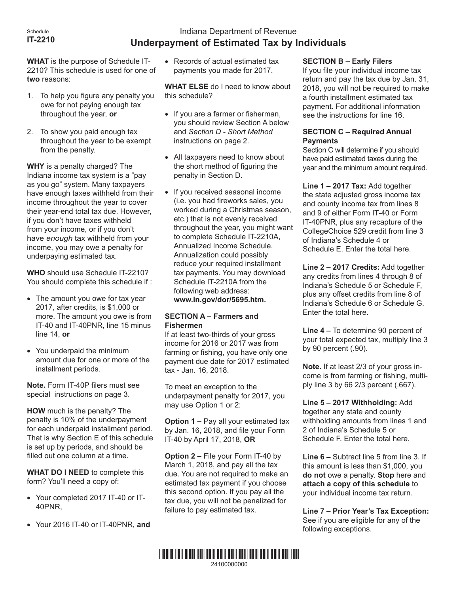# Indiana Department of Revenue **Underpayment of Estimated Tax by Individuals**

**WHAT** is the purpose of Schedule IT-2210? This schedule is used for one of **two** reasons:

- 1. To help you figure any penalty you owe for not paying enough tax throughout the year, **or**
- 2. To show you paid enough tax throughout the year to be exempt from the penalty.

**WHY** is a penalty charged? The Indiana income tax system is a "pay as you go" system. Many taxpayers have enough taxes withheld from their income throughout the year to cover their year-end total tax due. However, if you don't have taxes withheld from your income, or if you don't have *enough* tax withheld from your income, you may owe a penalty for underpaying estimated tax.

**WHO** should use Schedule IT-2210? You should complete this schedule if :

- The amount you owe for tax year 2017, after credits, is \$1,000 or more. The amount you owe is from IT-40 and IT-40PNR, line 15 minus line 14, **or**
- • You underpaid the minimum amount due for one or more of the installment periods.

**Note.** Form IT-40P filers must see special instructions on page 3.

**HOW** much is the penalty? The penalty is 10% of the underpayment for each underpaid installment period. That is why Section E of this schedule is set up by periods, and should be filled out one column at a time.

**WHAT DO I NEED** to complete this form? You'll need a copy of:

- Your completed 2017 IT-40 or IT-40PNR,
- • Your 2016 IT-40 or IT-40PNR, **and**

• Records of actual estimated tax payments you made for 2017.

**WHAT ELSE** do I need to know about this schedule?

- If you are a farmer or fisherman, you should review Section A below and *Section D - Short Method* instructions on page 2.
- All taxpayers need to know about the short method of figuring the penalty in Section D.
- If you received seasonal income (i.e. you had fireworks sales, you worked during a Christmas season, etc.) that is not evenly received throughout the year, you might want to complete Schedule IT-2210A, Annualized Income Schedule. Annualization could possibly [reduce your required installm](http://www.in.gov/dor/5333.htm)ent tax payments. You may download Schedule IT-2210A from the following web address: **www.in.gov/dor/5695.htm.**

# **SECTION A – Farmers and Fishermen**

If at least two-thirds of your gross income for 2016 or 2017 was from farming or fishing, you have only one payment due date for 2017 estimated tax - Jan. 16, 2018.

To meet an exception to the underpayment penalty for 2017, you may use Option 1 or 2:

**Option 1 –** Pay all your estimated tax by Jan. 16, 2018, and file your Form IT-40 by April 17, 2018, **OR**

**Option 2 –** File your Form IT-40 by March 1, 2018, and pay all the tax due. You are not required to make an estimated tax payment if you choose this second option. If you pay all the tax due, you will not be penalized for failure to pay estimated tax.

# **SECTION B – Early Filers**

If you file your individual income tax return and pay the tax due by Jan. 31, 2018, you will not be required to make a fourth installment estimated tax payment. For additional information see the instructions for line 16.

# **SECTION C – Required Annual Payments**

Section C will determine if you should have paid estimated taxes during the year and the minimum amount required.

**Line 1 – 2017 Tax:** Add together the state adjusted gross income tax and county income tax from lines 8 and 9 of either Form IT-40 or Form IT-40PNR, plus any recapture of the CollegeChoice 529 credit from line 3 of Indiana's Schedule 4 or Schedule E. Enter the total here.

**Line 2 – 2017 Credits:** Add together any credits from lines 4 through 8 of Indiana's Schedule 5 or Schedule F, plus any offset credits from line 8 of Indiana's Schedule 6 or Schedule G. Enter the total here.

**Line 4 –** To determine 90 percent of your total expected tax, multiply line 3 by 90 percent (.90).

**Note.** If at least 2/3 of your gross income is from farming or fishing, multiply line 3 by 66 2/3 percent (.667).

**Line 5 – 2017 Withholding:** Add together any state and county withholding amounts from lines 1 and 2 of Indiana's Schedule 5 or Schedule F. Enter the total here.

**Line 6 –** Subtract line 5 from line 3. If this amount is less than \$1,000, you **do not** owe a penalty. **Stop** here and **attach a copy of this schedule** to your individual income tax return.

**Line 7 – Prior Year's Tax Exception:**  See if you are eligible for any of the following exceptions.

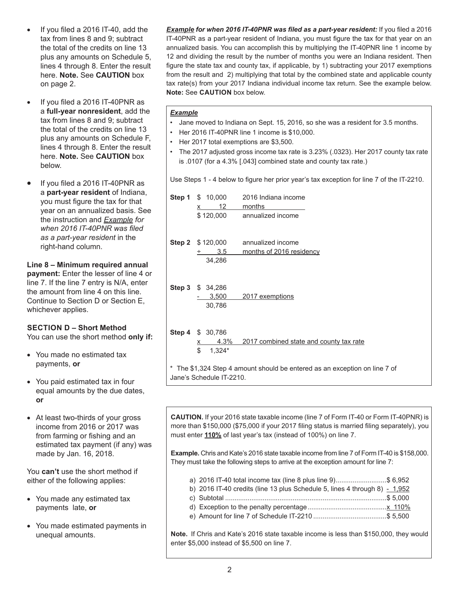- If you filed a  $2016$  IT-40, add the tax from lines 8 and 9; subtract the total of the credits on line 13 plus any amounts on Schedule 5, lines 4 through 8. Enter the result here. **Note.** See **CAUTION** box on page 2.
- If you filed a 2016 IT-40PNR as a **full-year nonresident**, add the tax from lines 8 and 9; subtract the total of the credits on line 13 plus any amounts on Schedule F, lines 4 through 8. Enter the result here. **Note.** See **CAUTION** box below.
- If you filed a 2016 IT-40PNR as a **part-year resident** of Indiana, you must figure the tax for that year on an annualized basis. See the instruction and *Example for when 2016 IT-40PNR was filed as a part-year resident* in the right-hand column.

# **Line 8 – Minimum required annual**

**payment:** Enter the lesser of line 4 or line 7. If the line 7 entry is N/A, enter the amount from line 4 on this line. Continue to Section D or Section E, whichever applies.

# **SECTION D – Short Method**

You can use the short method **only if:**

- You made no estimated tax payments, **or**
- You paid estimated tax in four equal amounts by the due dates, **or**
- At least two-thirds of your gross income from 2016 or 2017 was from farming or fishing and an estimated tax payment (if any) was made by Jan. 16, 2018.

You **can't** use the short method if either of the following applies:

- You made any estimated tax payments late, **or**
- • You made estimated payments in unequal amounts.

*Example for when 2016 IT-40PNR was filed as a part-year resident:* If you filed a 2016 IT-40PNR as a part-year resident of Indiana, you must figure the tax for that year on an annualized basis. You can accomplish this by multiplying the IT-40PNR line 1 income by 12 and dividing the result by the number of months you were an Indiana resident. Then figure the state tax and county tax, if applicable, by 1) subtracting your 2017 exemptions from the result and 2) multiplying that total by the combined state and applicable county tax rate(s) from your 2017 Indiana individual income tax return. See the example below. **Note:** See **CAUTION** box below.

## *Example*

- Jane moved to Indiana on Sept. 15, 2016, so she was a resident for 3.5 months.
- Her 2016 IT-40PNR line 1 income is \$10,000.
- Her 2017 total exemptions are \$3,500.
- The 2017 adjusted gross income tax rate is 3.23% (.0323). Her 2017 county tax rate is .0107 (for a 4.3% [.043] combined state and county tax rate.)

Use Steps 1 - 4 below to figure her prior year's tax exception for line 7 of the IT-2210.

| Step 1 | \$10,000<br>12<br>x                                                      | 2016 Indiana income<br>months           |  |  |  |  |
|--------|--------------------------------------------------------------------------|-----------------------------------------|--|--|--|--|
|        | \$120,000                                                                | annualized income                       |  |  |  |  |
|        |                                                                          |                                         |  |  |  |  |
|        | <b>Step 2</b> \$ 120,000                                                 | annualized income                       |  |  |  |  |
|        | 3.5                                                                      | months of 2016 residency                |  |  |  |  |
|        | 34,286                                                                   |                                         |  |  |  |  |
|        | Step 3 \$ 34,286                                                         |                                         |  |  |  |  |
|        | 3,500                                                                    | 2017 exemptions                         |  |  |  |  |
|        | 30,786                                                                   |                                         |  |  |  |  |
|        | <b>Step 4 \$ 30,786</b>                                                  |                                         |  |  |  |  |
|        | 4.3%<br><u>х</u>                                                         | 2017 combined state and county tax rate |  |  |  |  |
|        | \$<br>$1,324*$                                                           |                                         |  |  |  |  |
|        | The \$1,324 Step 4 amount should be entered as an exception on line 7 of |                                         |  |  |  |  |

**CAUTION.** If your 2016 state taxable income (line 7 of Form IT-40 or Form IT-40PNR) is more than \$150,000 (\$75,000 if your 2017 filing status is married filing separately), you must enter **110%** of last year's tax (instead of 100%) on line 7.

**Example.** Chris and Kate's 2016 state taxable income from line 7 of Form IT-40 is \$158,000. They must take the following steps to arrive at the exception amount for line 7:

- a) 2016 IT-40 total income tax (line 8 plus line 9)...........................\$ 6,952
- b) 2016 IT-40 credits (line 13 plus Schedule 5, lines 4 through 8)  $-1,952$
- c) Subtotal ......................................................................................\$ 5,000
- d) Exception to the penalty percentage..........................................x 110%
- e) Amount for line 7 of Schedule IT-2210 .......................................\$ 5,500

**Note.** If Chris and Kate's 2016 state taxable income is less than \$150,000, they would enter \$5,000 instead of \$5,500 on line 7.

Jane's Schedule IT-2210.